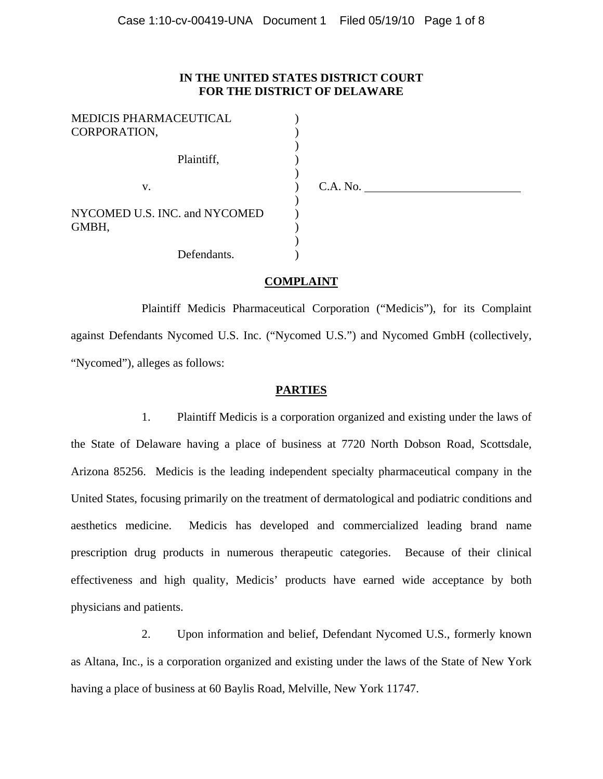# **IN THE UNITED STATES DISTRICT COURT FOR THE DISTRICT OF DELAWARE**

| MEDICIS PHARMACEUTICAL        |            |
|-------------------------------|------------|
| CORPORATION,                  |            |
|                               |            |
| Plaintiff,                    |            |
|                               |            |
| v.                            | $C.A.$ No. |
|                               |            |
| NYCOMED U.S. INC. and NYCOMED |            |
| GMBH,                         |            |
|                               |            |
| Defendants.                   |            |

# **COMPLAINT**

Plaintiff Medicis Pharmaceutical Corporation ("Medicis"), for its Complaint against Defendants Nycomed U.S. Inc. ("Nycomed U.S.") and Nycomed GmbH (collectively, "Nycomed"), alleges as follows:

# **PARTIES**

1. Plaintiff Medicis is a corporation organized and existing under the laws of the State of Delaware having a place of business at 7720 North Dobson Road, Scottsdale, Arizona 85256. Medicis is the leading independent specialty pharmaceutical company in the United States, focusing primarily on the treatment of dermatological and podiatric conditions and aesthetics medicine. Medicis has developed and commercialized leading brand name prescription drug products in numerous therapeutic categories. Because of their clinical effectiveness and high quality, Medicis' products have earned wide acceptance by both physicians and patients.

2. Upon information and belief, Defendant Nycomed U.S., formerly known as Altana, Inc., is a corporation organized and existing under the laws of the State of New York having a place of business at 60 Baylis Road, Melville, New York 11747.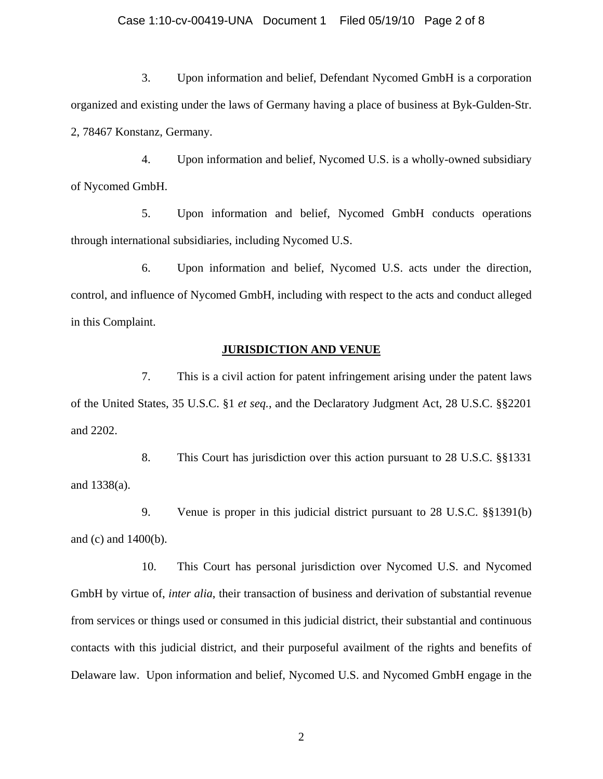# Case 1:10-cv-00419-UNA Document 1 Filed 05/19/10 Page 2 of 8

3. Upon information and belief, Defendant Nycomed GmbH is a corporation organized and existing under the laws of Germany having a place of business at Byk-Gulden-Str. 2, 78467 Konstanz, Germany.

4. Upon information and belief, Nycomed U.S. is a wholly-owned subsidiary of Nycomed GmbH.

5. Upon information and belief, Nycomed GmbH conducts operations through international subsidiaries, including Nycomed U.S.

6. Upon information and belief, Nycomed U.S. acts under the direction, control, and influence of Nycomed GmbH, including with respect to the acts and conduct alleged in this Complaint.

# **JURISDICTION AND VENUE**

7. This is a civil action for patent infringement arising under the patent laws of the United States, 35 U.S.C. §1 *et seq.*, and the Declaratory Judgment Act, 28 U.S.C. §§2201 and 2202.

8. This Court has jurisdiction over this action pursuant to 28 U.S.C. §§1331 and 1338(a).

9. Venue is proper in this judicial district pursuant to 28 U.S.C. §§1391(b) and (c) and 1400(b).

10. This Court has personal jurisdiction over Nycomed U.S. and Nycomed GmbH by virtue of, *inter alia*, their transaction of business and derivation of substantial revenue from services or things used or consumed in this judicial district, their substantial and continuous contacts with this judicial district, and their purposeful availment of the rights and benefits of Delaware law. Upon information and belief, Nycomed U.S. and Nycomed GmbH engage in the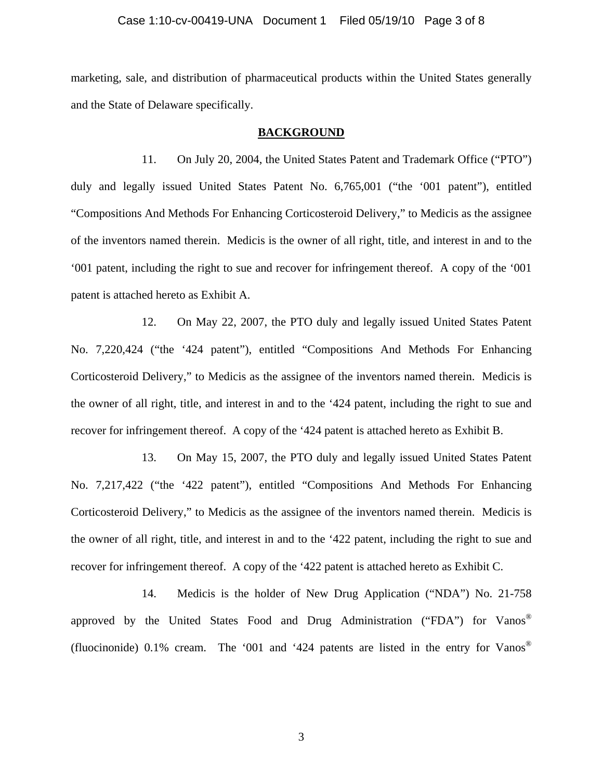# Case 1:10-cv-00419-UNA Document 1 Filed 05/19/10 Page 3 of 8

marketing, sale, and distribution of pharmaceutical products within the United States generally and the State of Delaware specifically.

#### **BACKGROUND**

11. On July 20, 2004, the United States Patent and Trademark Office ("PTO") duly and legally issued United States Patent No. 6,765,001 ("the '001 patent"), entitled "Compositions And Methods For Enhancing Corticosteroid Delivery," to Medicis as the assignee of the inventors named therein. Medicis is the owner of all right, title, and interest in and to the '001 patent, including the right to sue and recover for infringement thereof. A copy of the '001 patent is attached hereto as Exhibit A.

12. On May 22, 2007, the PTO duly and legally issued United States Patent No. 7,220,424 ("the '424 patent"), entitled "Compositions And Methods For Enhancing Corticosteroid Delivery," to Medicis as the assignee of the inventors named therein. Medicis is the owner of all right, title, and interest in and to the '424 patent, including the right to sue and recover for infringement thereof. A copy of the '424 patent is attached hereto as Exhibit B.

13. On May 15, 2007, the PTO duly and legally issued United States Patent No. 7,217,422 ("the '422 patent"), entitled "Compositions And Methods For Enhancing Corticosteroid Delivery," to Medicis as the assignee of the inventors named therein. Medicis is the owner of all right, title, and interest in and to the '422 patent, including the right to sue and recover for infringement thereof. A copy of the '422 patent is attached hereto as Exhibit C.

14. Medicis is the holder of New Drug Application ("NDA") No. 21-758 approved by the United States Food and Drug Administration ("FDA") for Vanos® (fluocinonide) 0.1% cream. The '001 and '424 patents are listed in the entry for Vanos®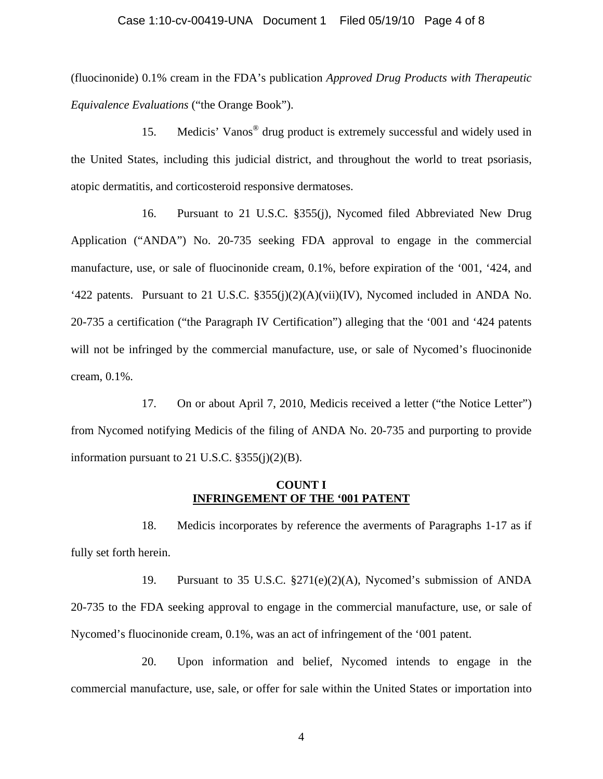# Case 1:10-cv-00419-UNA Document 1 Filed 05/19/10 Page 4 of 8

(fluocinonide) 0.1% cream in the FDA's publication *Approved Drug Products with Therapeutic Equivalence Evaluations* ("the Orange Book").

15. Medicis' Vanos® drug product is extremely successful and widely used in the United States, including this judicial district, and throughout the world to treat psoriasis, atopic dermatitis, and corticosteroid responsive dermatoses.

16. Pursuant to 21 U.S.C. §355(j), Nycomed filed Abbreviated New Drug Application ("ANDA") No. 20-735 seeking FDA approval to engage in the commercial manufacture, use, or sale of fluocinonide cream, 0.1%, before expiration of the '001, '424, and '422 patents. Pursuant to 21 U.S.C. §355(j)(2)(A)(vii)(IV), Nycomed included in ANDA No. 20-735 a certification ("the Paragraph IV Certification") alleging that the '001 and '424 patents will not be infringed by the commercial manufacture, use, or sale of Nycomed's fluocinonide cream, 0.1%.

17. On or about April 7, 2010, Medicis received a letter ("the Notice Letter") from Nycomed notifying Medicis of the filing of ANDA No. 20-735 and purporting to provide information pursuant to 21 U.S.C.  $\S 355(j)(2)(B)$ .

# **COUNT I INFRINGEMENT OF THE '001 PATENT**

18. Medicis incorporates by reference the averments of Paragraphs 1-17 as if fully set forth herein.

19. Pursuant to 35 U.S.C. §271(e)(2)(A), Nycomed's submission of ANDA 20-735 to the FDA seeking approval to engage in the commercial manufacture, use, or sale of Nycomed's fluocinonide cream, 0.1%, was an act of infringement of the '001 patent.

20. Upon information and belief, Nycomed intends to engage in the commercial manufacture, use, sale, or offer for sale within the United States or importation into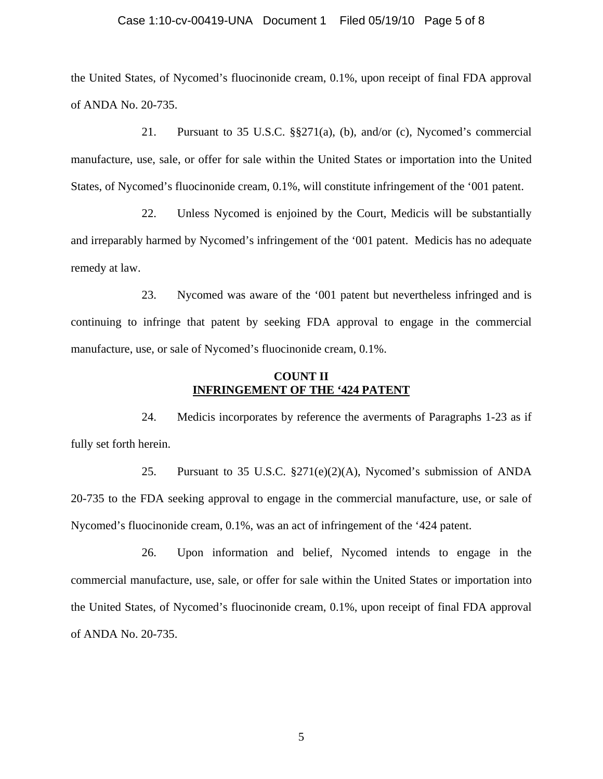# Case 1:10-cv-00419-UNA Document 1 Filed 05/19/10 Page 5 of 8

the United States, of Nycomed's fluocinonide cream, 0.1%, upon receipt of final FDA approval of ANDA No. 20-735.

21. Pursuant to 35 U.S.C. §§271(a), (b), and/or (c), Nycomed's commercial manufacture, use, sale, or offer for sale within the United States or importation into the United States, of Nycomed's fluocinonide cream, 0.1%, will constitute infringement of the '001 patent.

22. Unless Nycomed is enjoined by the Court, Medicis will be substantially and irreparably harmed by Nycomed's infringement of the '001 patent. Medicis has no adequate remedy at law.

23. Nycomed was aware of the '001 patent but nevertheless infringed and is continuing to infringe that patent by seeking FDA approval to engage in the commercial manufacture, use, or sale of Nycomed's fluocinonide cream, 0.1%.

# **COUNT II INFRINGEMENT OF THE '424 PATENT**

24. Medicis incorporates by reference the averments of Paragraphs 1-23 as if fully set forth herein.

25. Pursuant to 35 U.S.C. §271(e)(2)(A), Nycomed's submission of ANDA 20-735 to the FDA seeking approval to engage in the commercial manufacture, use, or sale of Nycomed's fluocinonide cream, 0.1%, was an act of infringement of the '424 patent.

26. Upon information and belief, Nycomed intends to engage in the commercial manufacture, use, sale, or offer for sale within the United States or importation into the United States, of Nycomed's fluocinonide cream, 0.1%, upon receipt of final FDA approval of ANDA No. 20-735.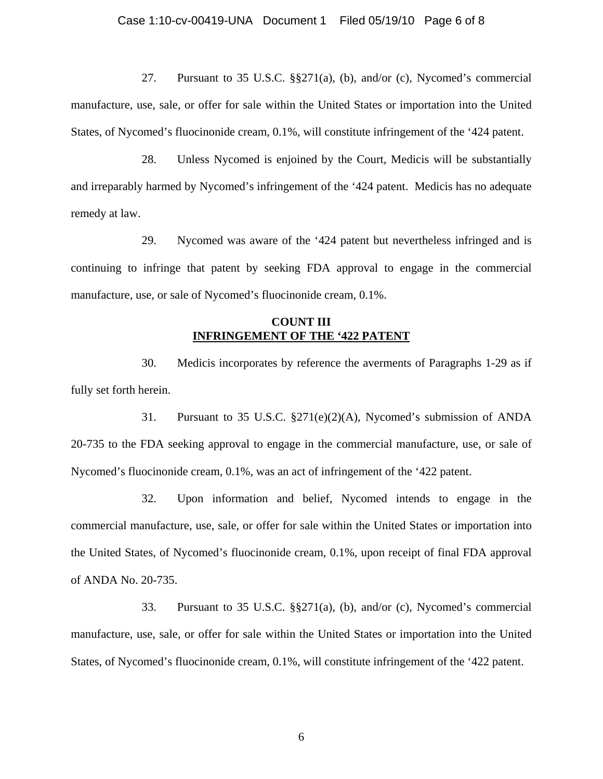# Case 1:10-cv-00419-UNA Document 1 Filed 05/19/10 Page 6 of 8

27. Pursuant to 35 U.S.C. §§271(a), (b), and/or (c), Nycomed's commercial manufacture, use, sale, or offer for sale within the United States or importation into the United States, of Nycomed's fluocinonide cream, 0.1%, will constitute infringement of the '424 patent.

28. Unless Nycomed is enjoined by the Court, Medicis will be substantially and irreparably harmed by Nycomed's infringement of the '424 patent. Medicis has no adequate remedy at law.

29. Nycomed was aware of the '424 patent but nevertheless infringed and is continuing to infringe that patent by seeking FDA approval to engage in the commercial manufacture, use, or sale of Nycomed's fluocinonide cream, 0.1%.

# **COUNT III INFRINGEMENT OF THE '422 PATENT**

30. Medicis incorporates by reference the averments of Paragraphs 1-29 as if fully set forth herein.

31. Pursuant to 35 U.S.C. §271(e)(2)(A), Nycomed's submission of ANDA 20-735 to the FDA seeking approval to engage in the commercial manufacture, use, or sale of Nycomed's fluocinonide cream, 0.1%, was an act of infringement of the '422 patent.

32. Upon information and belief, Nycomed intends to engage in the commercial manufacture, use, sale, or offer for sale within the United States or importation into the United States, of Nycomed's fluocinonide cream, 0.1%, upon receipt of final FDA approval of ANDA No. 20-735.

33. Pursuant to 35 U.S.C. §§271(a), (b), and/or (c), Nycomed's commercial manufacture, use, sale, or offer for sale within the United States or importation into the United States, of Nycomed's fluocinonide cream, 0.1%, will constitute infringement of the '422 patent.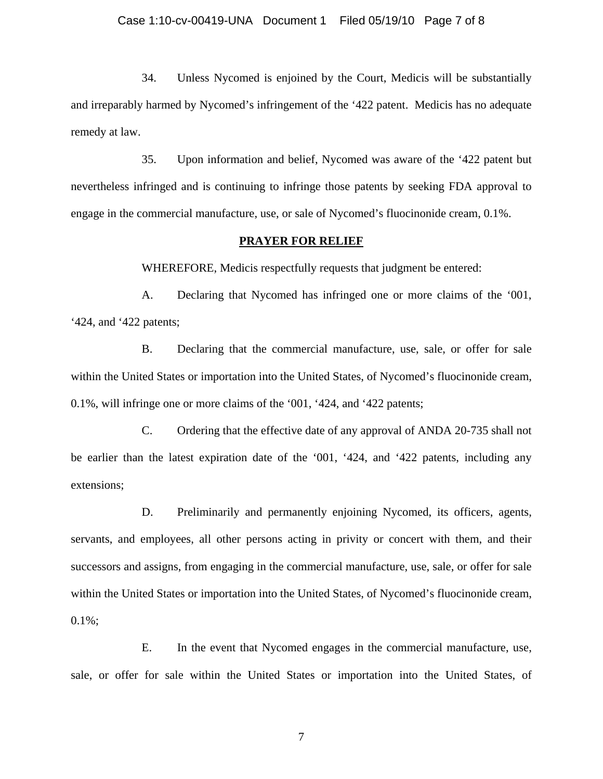# Case 1:10-cv-00419-UNA Document 1 Filed 05/19/10 Page 7 of 8

34. Unless Nycomed is enjoined by the Court, Medicis will be substantially and irreparably harmed by Nycomed's infringement of the '422 patent. Medicis has no adequate remedy at law.

35. Upon information and belief, Nycomed was aware of the '422 patent but nevertheless infringed and is continuing to infringe those patents by seeking FDA approval to engage in the commercial manufacture, use, or sale of Nycomed's fluocinonide cream, 0.1%.

## **PRAYER FOR RELIEF**

WHEREFORE, Medicis respectfully requests that judgment be entered:

A. Declaring that Nycomed has infringed one or more claims of the '001, '424, and '422 patents;

B. Declaring that the commercial manufacture, use, sale, or offer for sale within the United States or importation into the United States, of Nycomed's fluocinonide cream, 0.1%, will infringe one or more claims of the '001, '424, and '422 patents;

C. Ordering that the effective date of any approval of ANDA 20-735 shall not be earlier than the latest expiration date of the '001, '424, and '422 patents, including any extensions;

D. Preliminarily and permanently enjoining Nycomed, its officers, agents, servants, and employees, all other persons acting in privity or concert with them, and their successors and assigns, from engaging in the commercial manufacture, use, sale, or offer for sale within the United States or importation into the United States, of Nycomed's fluocinonide cream,  $0.1\%$ ;

E. In the event that Nycomed engages in the commercial manufacture, use, sale, or offer for sale within the United States or importation into the United States, of